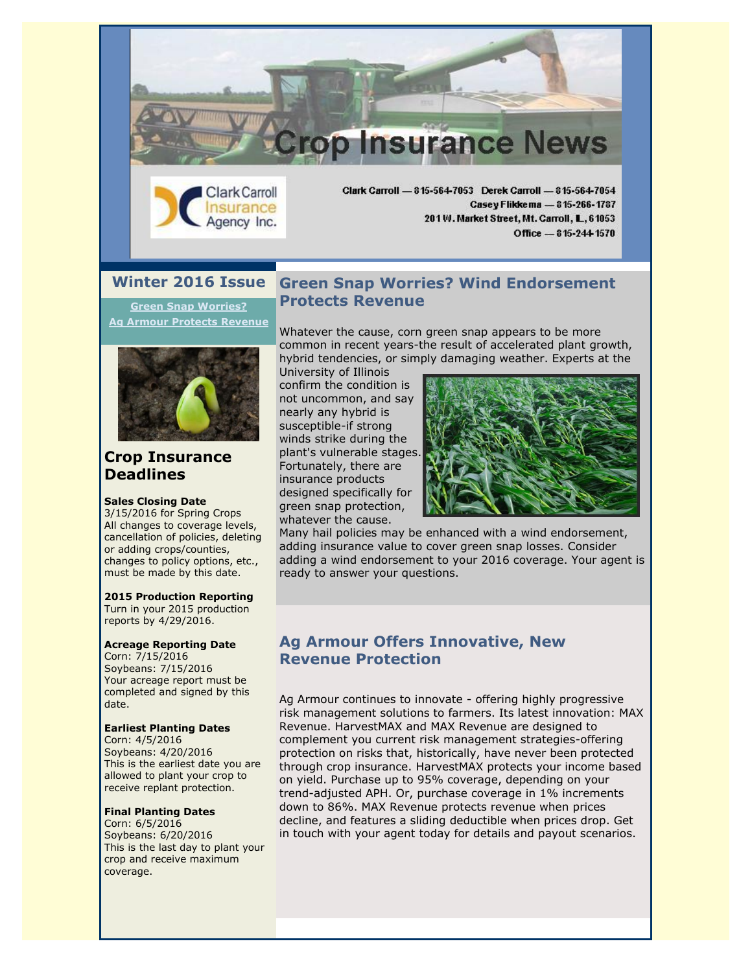



**[Green Snap Worries?](https://ui.constantcontact.com/visualeditor/visual_editor_preview.jsp?agent.uid=1123539792875&format=html&printFrame=true#LETTER.BLOCK35) [Ag Armour Protects Revenue](https://ui.constantcontact.com/visualeditor/visual_editor_preview.jsp?agent.uid=1123539792875&format=html&printFrame=true#LETTER.BLOCK29)**



## **Crop Insurance Deadlines**

#### **Sales Closing Date**

3/15/2016 for Spring Crops All changes to coverage levels, cancellation of policies, deleting or adding crops/counties, changes to policy options, etc., must be made by this date.

#### **2015 Production Reporting**

Turn in your 2015 production reports by 4/29/2016.

#### **Acreage Reporting Date**

Corn: 7/15/2016 Soybeans: 7/15/2016 Your acreage report must be completed and signed by this date.

#### **Earliest Planting Dates**

Corn: 4/5/2016 Soybeans: 4/20/2016 This is the earliest date you are allowed to plant your crop to receive replant protection.

#### **Final Planting Dates**

Corn: 6/5/2016 Soybeans: 6/20/2016 This is the last day to plant your crop and receive maximum coverage.

### **Green Snap Worries? Wind Endorsement Protects Revenue**

Whatever the cause, corn green snap appears to be more common in recent years-the result of accelerated plant growth, hybrid tendencies, or simply damaging weather. Experts at the

University of Illinois confirm the condition is not uncommon, and say nearly any hybrid is susceptible-if strong winds strike during the plant's vulnerable stages. Fortunately, there are insurance products designed specifically for green snap protection, whatever the cause.



Office - 815-244-1570

Many hail policies may be enhanced with a wind endorsement, adding insurance value to cover green snap losses. Consider adding a wind endorsement to your 2016 coverage. Your agent is ready to answer your questions.

#### **Ag Armour Offers Innovative, New Revenue Protection**

Ag Armour continues to innovate - offering highly progressive risk management solutions to farmers. Its latest innovation: MAX Revenue. HarvestMAX and MAX Revenue are designed to complement you current risk management strategies-offering protection on risks that, historically, have never been protected through crop insurance. HarvestMAX protects your income based on yield. Purchase up to 95% coverage, depending on your trend-adjusted APH. Or, purchase coverage in 1% increments down to 86%. MAX Revenue protects revenue when prices decline, and features a sliding deductible when prices drop. Get in touch with your agent today for details and payout scenarios.